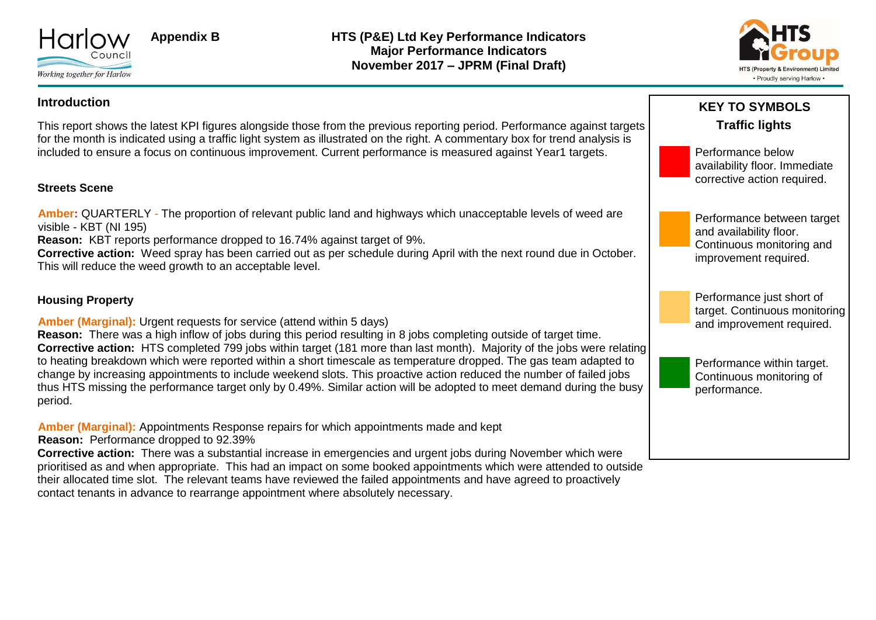



#### **Introduction**

This report shows the latest KPI figures alongside those from the previous reporting period. Performance against targets for the month is indicated using a traffic light system as illustrated on the right. A commentary box for trend analysis is included to ensure a focus on continuous improvement. Current performance is measured against Year1 targets.

#### **Streets Scene**

**Amber:** QUARTERLY - The proportion of relevant public land and highways which unacceptable levels of weed are visible - KBT (NI 195)

**Reason:** KBT reports performance dropped to 16.74% against target of 9%.

**Corrective action:** Weed spray has been carried out as per schedule during April with the next round due in October. This will reduce the weed growth to an acceptable level.

#### **Housing Property**

**Amber (Marginal):** Urgent requests for service (attend within 5 days)

**Reason:** There was a high inflow of jobs during this period resulting in 8 jobs completing outside of target time. **Corrective action:** HTS completed 799 jobs within target (181 more than last month). Majority of the jobs were relating to heating breakdown which were reported within a short timescale as temperature dropped. The gas team adapted to change by increasing appointments to include weekend slots. This proactive action reduced the number of failed jobs thus HTS missing the performance target only by 0.49%. Similar action will be adopted to meet demand during the busy period.

**Amber (Marginal):** Appointments Response repairs for which appointments made and kept

**Reason:** Performance dropped to 92.39% **Corrective action:** There was a substantial increase in emergencies and urgent jobs during November which were prioritised as and when appropriate. This had an impact on some booked appointments which were attended to outside their allocated time slot. The relevant teams have reviewed the failed appointments and have agreed to proactively contact tenants in advance to rearrange appointment where absolutely necessary.



availability floor. Immediate corrective action required.





Performance within target. Continuous monitoring of performance.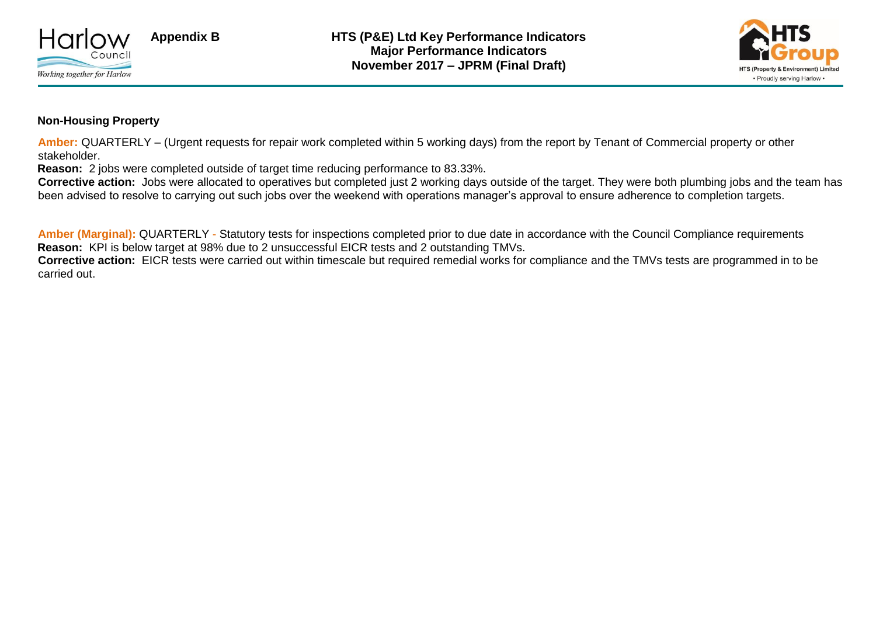



#### **Non-Housing Property**

**Amber:** QUARTERLY – (Urgent requests for repair work completed within 5 working days) from the report by Tenant of Commercial property or other stakeholder.

**Reason:** 2 jobs were completed outside of target time reducing performance to 83.33%.

**Corrective action:** Jobs were allocated to operatives but completed just 2 working days outside of the target. They were both plumbing jobs and the team has been advised to resolve to carrying out such jobs over the weekend with operations manager's approval to ensure adherence to completion targets.

**Amber (Marginal):** QUARTERLY - Statutory tests for inspections completed prior to due date in accordance with the Council Compliance requirements **Reason:** KPI is below target at 98% due to 2 unsuccessful EICR tests and 2 outstanding TMVs. **Corrective action:** EICR tests were carried out within timescale but required remedial works for compliance and the TMVs tests are programmed in to be carried out.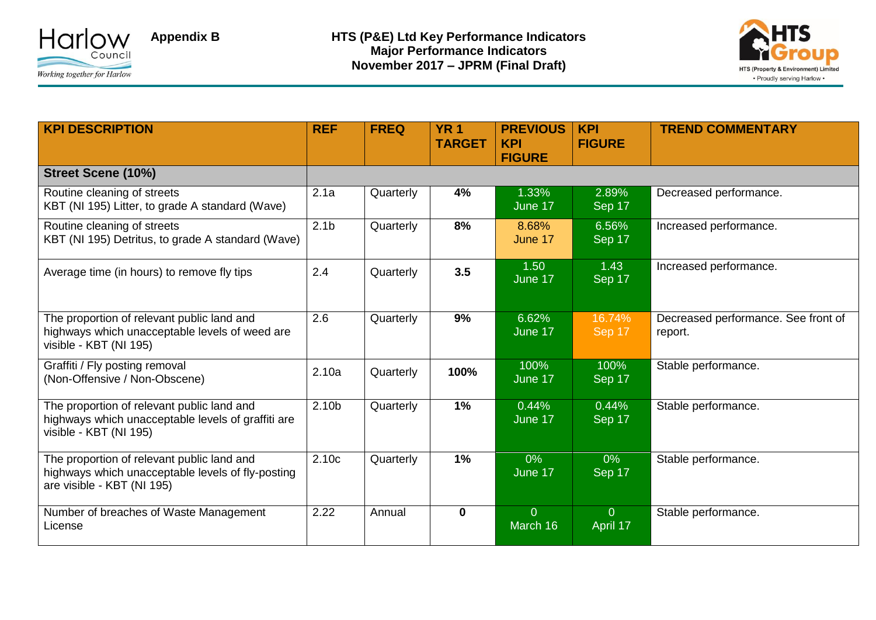



| <b>KPI DESCRIPTION</b>                                                                                                        | <b>REF</b>        | <b>FREQ</b> | <b>YR1</b><br><b>TARGET</b> | <b>PREVIOUS</b><br><b>KPI</b><br><b>FIGURE</b> | <b>KPI</b><br><b>FIGURE</b> | <b>TREND COMMENTARY</b>                        |
|-------------------------------------------------------------------------------------------------------------------------------|-------------------|-------------|-----------------------------|------------------------------------------------|-----------------------------|------------------------------------------------|
| <b>Street Scene (10%)</b>                                                                                                     |                   |             |                             |                                                |                             |                                                |
| Routine cleaning of streets<br>KBT (NI 195) Litter, to grade A standard (Wave)                                                | 2.1a              | Quarterly   | 4%                          | 1.33%<br>June 17                               | 2.89%<br>Sep 17             | Decreased performance.                         |
| Routine cleaning of streets<br>KBT (NI 195) Detritus, to grade A standard (Wave)                                              | 2.1 <sub>b</sub>  | Quarterly   | 8%                          | 8.68%<br>June 17                               | 6.56%<br>Sep 17             | Increased performance.                         |
| Average time (in hours) to remove fly tips                                                                                    | 2.4               | Quarterly   | 3.5                         | 1.50<br>June 17                                | 1.43<br>Sep 17              | Increased performance.                         |
| The proportion of relevant public land and<br>highways which unacceptable levels of weed are<br>visible - KBT (NI 195)        | 2.6               | Quarterly   | 9%                          | 6.62%<br>June 17                               | 16.74%<br>Sep 17            | Decreased performance. See front of<br>report. |
| Graffiti / Fly posting removal<br>(Non-Offensive / Non-Obscene)                                                               | 2.10a             | Quarterly   | 100%                        | 100%<br>June 17                                | 100%<br>Sep 17              | Stable performance.                            |
| The proportion of relevant public land and<br>highways which unacceptable levels of graffiti are<br>visible - KBT (NI 195)    | 2.10 <sub>b</sub> | Quarterly   | 1%                          | 0.44%<br>June 17                               | 0.44%<br>Sep 17             | Stable performance.                            |
| The proportion of relevant public land and<br>highways which unacceptable levels of fly-posting<br>are visible - KBT (NI 195) | 2.10c             | Quarterly   | 1%                          | $0\%$<br>June 17                               | $0\%$<br>$Sep$ 17           | Stable performance.                            |
| Number of breaches of Waste Management<br>License                                                                             | 2.22              | Annual      | $\mathbf 0$                 | $\overline{0}$<br>March 16                     | $\overline{0}$<br>April 17  | Stable performance.                            |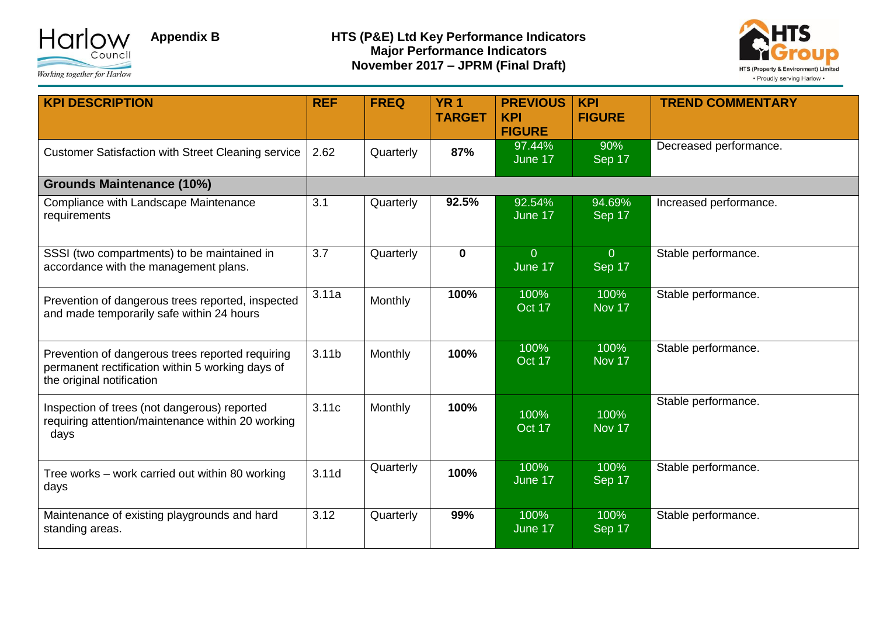



| <b>KPI DESCRIPTION</b>                                                                                                            | <b>REF</b>        | <b>FREQ</b>    | <b>YR1</b><br><b>TARGET</b> | <b>PREVIOUS</b><br><b>KPI</b><br><b>FIGURE</b> | <b>KPI</b><br><b>FIGURE</b> | <b>TREND COMMENTARY</b> |
|-----------------------------------------------------------------------------------------------------------------------------------|-------------------|----------------|-----------------------------|------------------------------------------------|-----------------------------|-------------------------|
| <b>Customer Satisfaction with Street Cleaning service</b>                                                                         | 2.62              | Quarterly      | 87%                         | 97.44%<br>June 17                              | 90%<br>Sep 17               | Decreased performance.  |
| <b>Grounds Maintenance (10%)</b>                                                                                                  |                   |                |                             |                                                |                             |                         |
| Compliance with Landscape Maintenance<br>requirements                                                                             | 3.1               | Quarterly      | 92.5%                       | 92.54%<br>June 17                              | 94.69%<br>Sep 17            | Increased performance.  |
| SSSI (two compartments) to be maintained in<br>accordance with the management plans.                                              | 3.7               | Quarterly      | $\mathbf 0$                 | $\overline{0}$<br>June 17                      | $\overline{0}$<br>Sep 17    | Stable performance.     |
| Prevention of dangerous trees reported, inspected<br>and made temporarily safe within 24 hours                                    | 3.11a             | Monthly        | 100%                        | 100%<br>Oct 17                                 | 100%<br>Nov 17              | Stable performance.     |
| Prevention of dangerous trees reported requiring<br>permanent rectification within 5 working days of<br>the original notification | 3.11 <sub>b</sub> | <b>Monthly</b> | 100%                        | 100%<br>Oct 17                                 | 100%<br>Nov 17              | Stable performance.     |
| Inspection of trees (not dangerous) reported<br>requiring attention/maintenance within 20 working<br>days                         | 3.11c             | Monthly        | 100%                        | 100%<br>Oct 17                                 | 100%<br>Nov 17              | Stable performance.     |
| Tree works - work carried out within 80 working<br>days                                                                           | 3.11d             | Quarterly      | 100%                        | 100%<br>June 17                                | 100%<br>Sep 17              | Stable performance.     |
| Maintenance of existing playgrounds and hard<br>standing areas.                                                                   | 3.12              | Quarterly      | 99%                         | 100%<br>June 17                                | 100%<br>Sep 17              | Stable performance.     |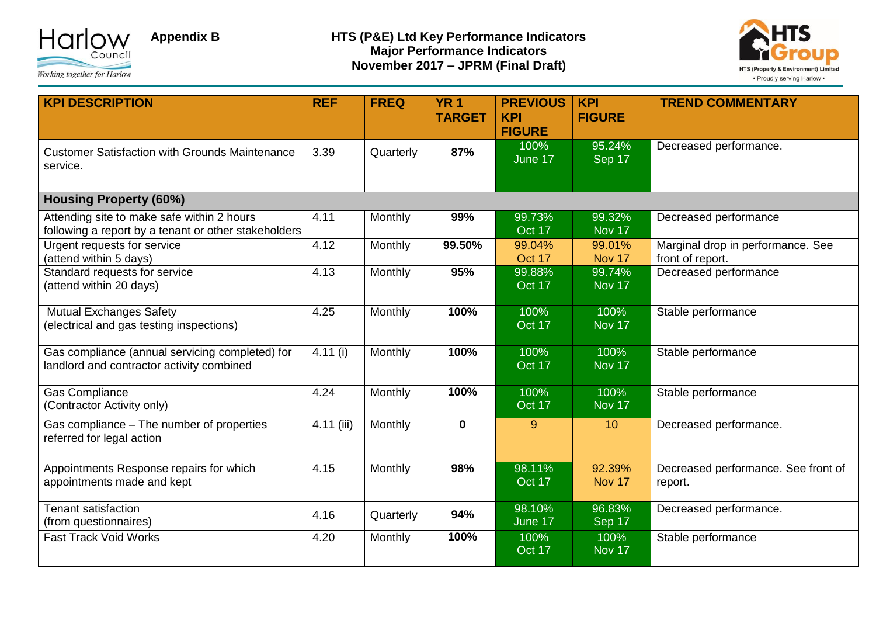



| <b>KPI DESCRIPTION</b>                                                                             | <b>REF</b> | <b>FREQ</b> | <b>YR1</b><br><b>TARGET</b> | <b>PREVIOUS</b><br><b>KPI</b><br><b>FIGURE</b> | <b>KPI</b><br><b>FIGURE</b> | <b>TREND COMMENTARY</b>                               |
|----------------------------------------------------------------------------------------------------|------------|-------------|-----------------------------|------------------------------------------------|-----------------------------|-------------------------------------------------------|
| <b>Customer Satisfaction with Grounds Maintenance</b><br>service.                                  | 3.39       | Quarterly   | 87%                         | 100%<br>June 17                                | 95.24%<br>Sep 17            | Decreased performance.                                |
| <b>Housing Property (60%)</b>                                                                      |            |             |                             |                                                |                             |                                                       |
| Attending site to make safe within 2 hours<br>following a report by a tenant or other stakeholders | 4.11       | Monthly     | 99%                         | 99.73%<br>Oct 17                               | 99.32%<br>Nov 17            | Decreased performance                                 |
| Urgent requests for service<br>(attend within 5 days)                                              | 4.12       | Monthly     | 99.50%                      | 99.04%<br>Oct 17                               | 99.01%<br>Nov 17            | Marginal drop in performance. See<br>front of report. |
| Standard requests for service<br>(attend within 20 days)                                           | 4.13       | Monthly     | 95%                         | 99.88%<br>Oct 17                               | 99.74%<br>Nov 17            | Decreased performance                                 |
| <b>Mutual Exchanges Safety</b><br>(electrical and gas testing inspections)                         | 4.25       | Monthly     | 100%                        | 100%<br>Oct 17                                 | 100%<br>Nov 17              | Stable performance                                    |
| Gas compliance (annual servicing completed) for<br>landlord and contractor activity combined       | 4.11 (i)   | Monthly     | 100%                        | 100%<br>Oct 17                                 | 100%<br>Nov 17              | Stable performance                                    |
| <b>Gas Compliance</b><br>(Contractor Activity only)                                                | 4.24       | Monthly     | 100%                        | 100%<br>Oct 17                                 | 100%<br>Nov 17              | Stable performance                                    |
| Gas compliance - The number of properties<br>referred for legal action                             | 4.11 (iii) | Monthly     | $\mathbf 0$                 | 9                                              | 10                          | Decreased performance.                                |
| Appointments Response repairs for which<br>appointments made and kept                              | 4.15       | Monthly     | 98%                         | 98.11%<br>Oct 17                               | 92.39%<br>Nov 17            | Decreased performance. See front of<br>report.        |
| Tenant satisfaction<br>(from questionnaires)                                                       | 4.16       | Quarterly   | 94%                         | 98.10%<br>June 17                              | 96.83%<br>Sep 17            | Decreased performance.                                |
| <b>Fast Track Void Works</b>                                                                       | 4.20       | Monthly     | 100%                        | 100%<br>Oct 17                                 | 100%<br>Nov 17              | Stable performance                                    |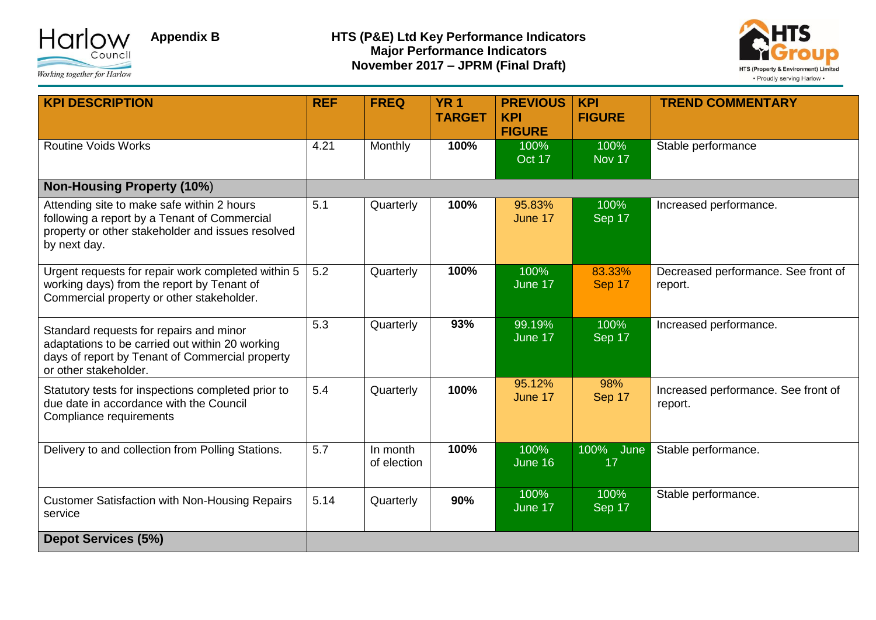



| <b>KPI DESCRIPTION</b>                                                                                                                                                 | <b>REF</b> | <b>FREQ</b>             | <b>YR1</b><br><b>TARGET</b> | <b>PREVIOUS</b><br><b>KPI</b><br><b>FIGURE</b> | <b>KPI</b><br><b>FIGURE</b> | <b>TREND COMMENTARY</b>                        |
|------------------------------------------------------------------------------------------------------------------------------------------------------------------------|------------|-------------------------|-----------------------------|------------------------------------------------|-----------------------------|------------------------------------------------|
| <b>Routine Voids Works</b>                                                                                                                                             | 4.21       | Monthly                 | 100%                        | 100%<br>Oct 17                                 | 100%<br>Nov 17              | Stable performance                             |
| <b>Non-Housing Property (10%)</b>                                                                                                                                      |            |                         |                             |                                                |                             |                                                |
| Attending site to make safe within 2 hours<br>following a report by a Tenant of Commercial<br>property or other stakeholder and issues resolved<br>by next day.        | 5.1        | Quarterly               | 100%                        | 95.83%<br>June 17                              | 100%<br>Sep 17              | Increased performance.                         |
| Urgent requests for repair work completed within 5<br>working days) from the report by Tenant of<br>Commercial property or other stakeholder.                          | 5.2        | Quarterly               | 100%                        | 100%<br>June 17                                | 83.33%<br>Sep 17            | Decreased performance. See front of<br>report. |
| Standard requests for repairs and minor<br>adaptations to be carried out within 20 working<br>days of report by Tenant of Commercial property<br>or other stakeholder. | 5.3        | Quarterly               | 93%                         | 99.19%<br>June 17                              | 100%<br>Sep 17              | Increased performance.                         |
| Statutory tests for inspections completed prior to<br>due date in accordance with the Council<br>Compliance requirements                                               | 5.4        | Quarterly               | 100%                        | 95.12%<br>June 17                              | 98%<br>Sep 17               | Increased performance. See front of<br>report. |
| Delivery to and collection from Polling Stations.                                                                                                                      | 5.7        | In month<br>of election | 100%                        | 100%<br>June 16                                | 100%<br>June<br>17          | Stable performance.                            |
| <b>Customer Satisfaction with Non-Housing Repairs</b><br>service                                                                                                       | 5.14       | Quarterly               | 90%                         | 100%<br>June 17                                | 100%<br>Sep 17              | Stable performance.                            |
| <b>Depot Services (5%)</b>                                                                                                                                             |            |                         |                             |                                                |                             |                                                |